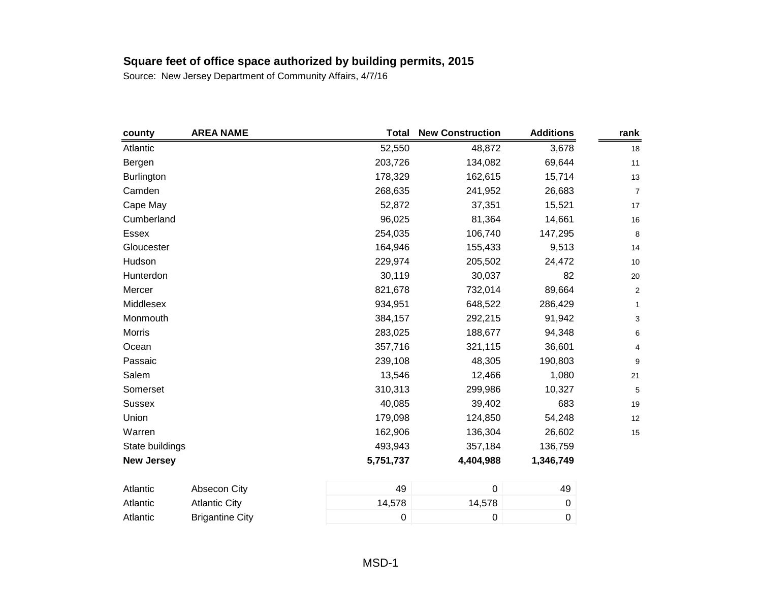| county            | <b>AREA NAME</b>       | <b>Total</b> | <b>New Construction</b> | <b>Additions</b> | rank                      |
|-------------------|------------------------|--------------|-------------------------|------------------|---------------------------|
| Atlantic          |                        | 52,550       | 48,872                  | 3,678            | 18                        |
| Bergen            |                        | 203,726      | 134,082                 | 69,644           | 11                        |
| Burlington        |                        | 178,329      | 162,615                 | 15,714           | 13                        |
| Camden            |                        | 268,635      | 241,952                 | 26,683           | $\boldsymbol{7}$          |
| Cape May          |                        | 52,872       | 37,351                  | 15,521           | 17                        |
| Cumberland        |                        | 96,025       | 81,364                  | 14,661           | 16                        |
| Essex             |                        | 254,035      | 106,740                 | 147,295          | 8                         |
| Gloucester        |                        | 164,946      | 155,433                 | 9,513            | 14                        |
| Hudson            |                        | 229,974      | 205,502                 | 24,472           | 10                        |
| Hunterdon         |                        | 30,119       | 30,037                  | 82               | $20\,$                    |
| Mercer            |                        | 821,678      | 732,014                 | 89,664           | $\mathbf 2$               |
| Middlesex         |                        | 934,951      | 648,522                 | 286,429          | $\mathbf{1}$              |
| Monmouth          |                        | 384,157      | 292,215                 | 91,942           | $\ensuremath{\mathsf{3}}$ |
| Morris            |                        | 283,025      | 188,677                 | 94,348           | $\,6$                     |
| Ocean             |                        | 357,716      | 321,115                 | 36,601           | 4                         |
| Passaic           |                        | 239,108      | 48,305                  | 190,803          | $\boldsymbol{9}$          |
| Salem             |                        | 13,546       | 12,466                  | 1,080            | 21                        |
| Somerset          |                        | 310,313      | 299,986                 | 10,327           | 5                         |
| <b>Sussex</b>     |                        | 40,085       | 39,402                  | 683              | 19                        |
| Union             |                        | 179,098      | 124,850                 | 54,248           | 12                        |
| Warren            |                        | 162,906      | 136,304                 | 26,602           | 15                        |
| State buildings   |                        | 493,943      | 357,184                 | 136,759          |                           |
| <b>New Jersey</b> |                        | 5,751,737    | 4,404,988               | 1,346,749        |                           |
| Atlantic          | Absecon City           | 49           | $\pmb{0}$               | 49               |                           |
| Atlantic          | <b>Atlantic City</b>   | 14,578       | 14,578                  | $\pmb{0}$        |                           |
| Atlantic          | <b>Brigantine City</b> | 0            | $\boldsymbol{0}$        | $\boldsymbol{0}$ |                           |
|                   |                        |              |                         |                  |                           |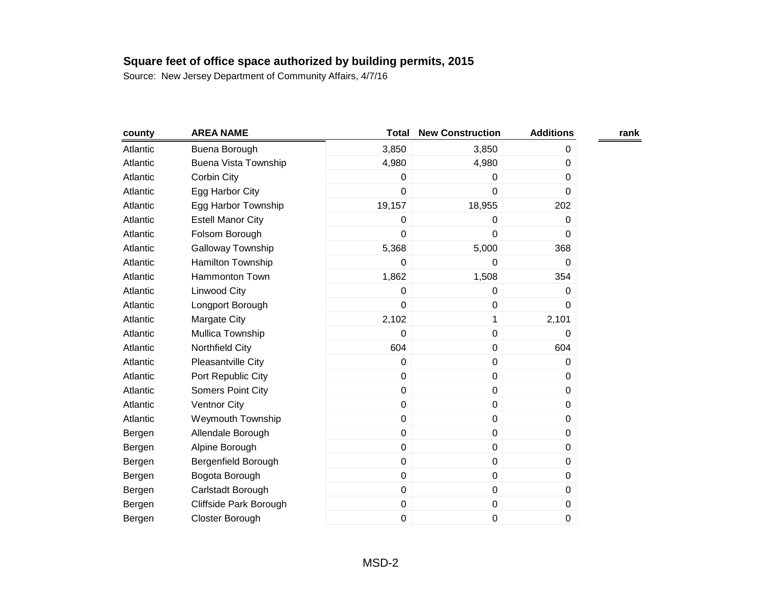| county   | <b>AREA NAME</b>            | <b>Total</b> | <b>New Construction</b> | <b>Additions</b> | rank |
|----------|-----------------------------|--------------|-------------------------|------------------|------|
| Atlantic | Buena Borough               | 3,850        | 3,850                   | 0                |      |
| Atlantic | <b>Buena Vista Township</b> | 4,980        | 4,980                   | 0                |      |
| Atlantic | Corbin City                 | $\Omega$     | 0                       | 0                |      |
| Atlantic | Egg Harbor City             | $\mathbf 0$  | 0                       | 0                |      |
| Atlantic | Egg Harbor Township         | 19,157       | 18,955                  | 202              |      |
| Atlantic | <b>Estell Manor City</b>    | 0            | 0                       | 0                |      |
| Atlantic | Folsom Borough              | $\mathbf 0$  | 0                       | 0                |      |
| Atlantic | <b>Galloway Township</b>    | 5,368        | 5,000                   | 368              |      |
| Atlantic | Hamilton Township           | $\mathbf 0$  | 0                       | 0                |      |
| Atlantic | Hammonton Town              | 1,862        | 1,508                   | 354              |      |
| Atlantic | Linwood City                | $\mathbf 0$  | 0                       | 0                |      |
| Atlantic | Longport Borough            | $\mathbf 0$  | $\pmb{0}$               | 0                |      |
| Atlantic | Margate City                | 2,102        | $\mathbf 1$             | 2,101            |      |
| Atlantic | Mullica Township            | $\mathbf 0$  | 0                       | 0                |      |
| Atlantic | Northfield City             | 604          | $\pmb{0}$               | 604              |      |
| Atlantic | Pleasantville City          | $\pmb{0}$    | $\pmb{0}$               | 0                |      |
| Atlantic | Port Republic City          | $\mathbf 0$  | 0                       | 0                |      |
| Atlantic | <b>Somers Point City</b>    | $\pmb{0}$    | $\pmb{0}$               | 0                |      |
| Atlantic | <b>Ventnor City</b>         | $\pmb{0}$    | 0                       | 0                |      |
| Atlantic | <b>Weymouth Township</b>    | $\mathbf 0$  | $\pmb{0}$               | 0                |      |
| Bergen   | Allendale Borough           | $\mathbf 0$  | $\pmb{0}$               | 0                |      |
| Bergen   | Alpine Borough              | $\mathbf 0$  | 0                       | 0                |      |
| Bergen   | Bergenfield Borough         | $\mathbf 0$  | $\mathbf 0$             | 0                |      |
| Bergen   | Bogota Borough              | $\mathbf 0$  | $\pmb{0}$               | 0                |      |
| Bergen   | Carlstadt Borough           | $\mathbf 0$  | $\pmb{0}$               | 0                |      |
| Bergen   | Cliffside Park Borough      | $\pmb{0}$    | $\pmb{0}$               | 0                |      |
| Bergen   | Closter Borough             | 0            | 0                       | 0                |      |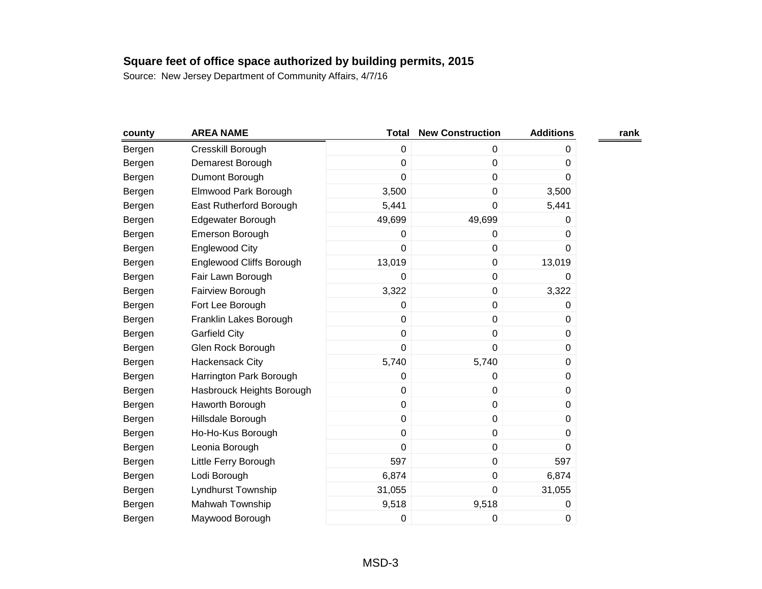| county | <b>AREA NAME</b>                | <b>Total</b>   | <b>New Construction</b> | <b>Additions</b> | rank |
|--------|---------------------------------|----------------|-------------------------|------------------|------|
| Bergen | Cresskill Borough               | $\mathbf 0$    | 0                       | 0                |      |
| Bergen | Demarest Borough                | $\mathbf 0$    | $\mathbf 0$             | 0                |      |
| Bergen | Dumont Borough                  | $\mathbf 0$    | 0                       | 0                |      |
| Bergen | Elmwood Park Borough            | 3,500          | $\pmb{0}$               | 3,500            |      |
| Bergen | East Rutherford Borough         | 5,441          | 0                       | 5,441            |      |
| Bergen | Edgewater Borough               | 49,699         | 49,699                  | 0                |      |
| Bergen | Emerson Borough                 | 0              | 0                       | 0                |      |
| Bergen | <b>Englewood City</b>           | $\overline{0}$ | 0                       | 0                |      |
| Bergen | <b>Englewood Cliffs Borough</b> | 13,019         | $\pmb{0}$               | 13,019           |      |
| Bergen | Fair Lawn Borough               | 0              | $\pmb{0}$               | 0                |      |
| Bergen | Fairview Borough                | 3,322          | 0                       | 3,322            |      |
| Bergen | Fort Lee Borough                | 0              | $\pmb{0}$               | 0                |      |
| Bergen | Franklin Lakes Borough          | $\pmb{0}$      | $\pmb{0}$               | 0                |      |
| Bergen | <b>Garfield City</b>            | $\mathbf 0$    | 0                       | 0                |      |
| Bergen | Glen Rock Borough               | $\mathbf 0$    | $\mathbf 0$             | 0                |      |
| Bergen | Hackensack City                 | 5,740          | 5,740                   | 0                |      |
| Bergen | Harrington Park Borough         | $\pmb{0}$      | 0                       | 0                |      |
| Bergen | Hasbrouck Heights Borough       | $\mathbf 0$    | $\pmb{0}$               | 0                |      |
| Bergen | Haworth Borough                 | 0              | 0                       | 0                |      |
| Bergen | Hillsdale Borough               | $\mathbf 0$    | $\pmb{0}$               | 0                |      |
| Bergen | Ho-Ho-Kus Borough               | $\mathbf 0$    | 0                       | 0                |      |
| Bergen | Leonia Borough                  | $\mathbf 0$    | 0                       | 0                |      |
| Bergen | Little Ferry Borough            | 597            | 0                       | 597              |      |
| Bergen | Lodi Borough                    | 6,874          | 0                       | 6,874            |      |
| Bergen | Lyndhurst Township              | 31,055         | 0                       | 31,055           |      |
| Bergen | Mahwah Township                 | 9,518          | 9,518                   | 0                |      |
| Bergen | Maywood Borough                 | 0              | 0                       | 0                |      |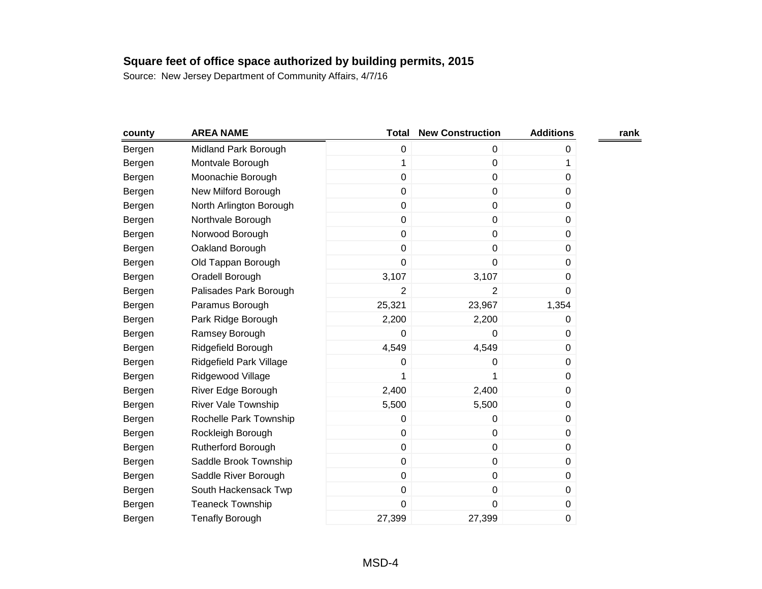| county | <b>AREA NAME</b>           | <b>Total</b>   | <b>New Construction</b> | <b>Additions</b> | rank |
|--------|----------------------------|----------------|-------------------------|------------------|------|
| Bergen | Midland Park Borough       | $\pmb{0}$      | 0                       | 0                |      |
| Bergen | Montvale Borough           | 1              | $\mathbf 0$             | 1                |      |
| Bergen | Moonachie Borough          | $\mathbf 0$    | $\mathbf 0$             | 0                |      |
| Bergen | New Milford Borough        | $\mathbf 0$    | $\pmb{0}$               | 0                |      |
| Bergen | North Arlington Borough    | $\mathbf 0$    | $\mathbf 0$             | 0                |      |
| Bergen | Northvale Borough          | $\pmb{0}$      | $\pmb{0}$               | 0                |      |
| Bergen | Norwood Borough            | $\pmb{0}$      | $\pmb{0}$               | 0                |      |
| Bergen | Oakland Borough            | $\mathbf 0$    | $\mathbf 0$             | 0                |      |
| Bergen | Old Tappan Borough         | 0              | $\pmb{0}$               | 0                |      |
| Bergen | Oradell Borough            | 3,107          | 3,107                   | 0                |      |
| Bergen | Palisades Park Borough     | $\overline{2}$ | $\overline{2}$          | 0                |      |
| Bergen | Paramus Borough            | 25,321         | 23,967                  | 1,354            |      |
| Bergen | Park Ridge Borough         | 2,200          | 2,200                   | 0                |      |
| Bergen | Ramsey Borough             | $\mathbf 0$    | $\mathbf 0$             | 0                |      |
| Bergen | Ridgefield Borough         | 4,549          | 4,549                   | 0                |      |
| Bergen | Ridgefield Park Village    | 0              | 0                       | 0                |      |
| Bergen | Ridgewood Village          | 1              | 1                       | 0                |      |
| Bergen | River Edge Borough         | 2,400          | 2,400                   | 0                |      |
| Bergen | <b>River Vale Township</b> | 5,500          | 5,500                   | 0                |      |
| Bergen | Rochelle Park Township     | 0              | 0                       | 0                |      |
| Bergen | Rockleigh Borough          | $\mathbf 0$    | $\mathbf 0$             | 0                |      |
| Bergen | Rutherford Borough         | $\mathbf 0$    | $\pmb{0}$               | 0                |      |
| Bergen | Saddle Brook Township      | $\pmb{0}$      | $\pmb{0}$               | 0                |      |
| Bergen | Saddle River Borough       | $\pmb{0}$      | $\pmb{0}$               | 0                |      |
| Bergen | South Hackensack Twp       | $\pmb{0}$      | $\pmb{0}$               | 0                |      |
| Bergen | <b>Teaneck Township</b>    | $\mathbf 0$    | 0                       | 0                |      |
| Bergen | <b>Tenafly Borough</b>     | 27,399         | 27,399                  | 0                |      |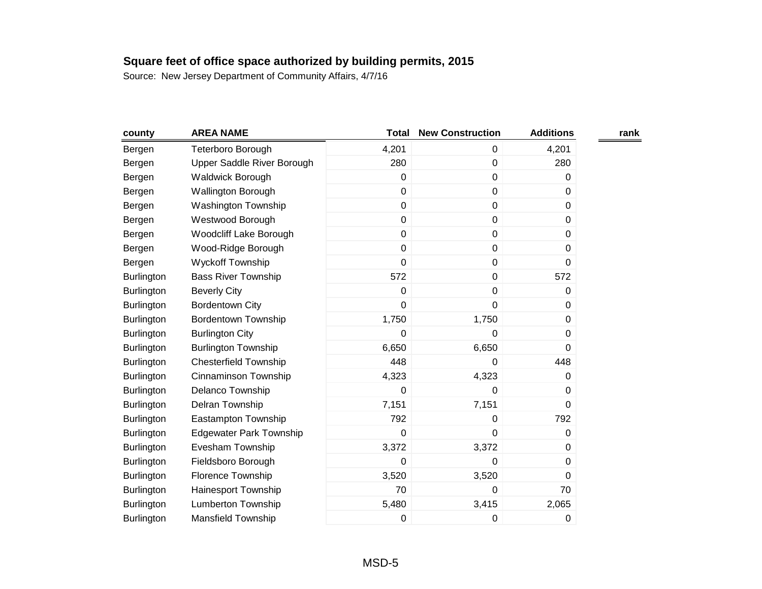| county            | <b>AREA NAME</b>               | <b>Total</b> | <b>New Construction</b> | <b>Additions</b> | rank |
|-------------------|--------------------------------|--------------|-------------------------|------------------|------|
| Bergen            | Teterboro Borough              | 4,201        | 0                       | 4,201            |      |
| Bergen            | Upper Saddle River Borough     | 280          | $\mathbf 0$             | 280              |      |
| Bergen            | Waldwick Borough               | 0            | $\mathbf 0$             | 0                |      |
| Bergen            | Wallington Borough             | $\mathbf 0$  | $\mathbf 0$             | 0                |      |
| Bergen            | Washington Township            | $\pmb{0}$    | $\mathbf 0$             | 0                |      |
| Bergen            | Westwood Borough               | $\mathbf 0$  | $\pmb{0}$               | 0                |      |
| Bergen            | <b>Woodcliff Lake Borough</b>  | $\pmb{0}$    | $\pmb{0}$               | $\pmb{0}$        |      |
| Bergen            | Wood-Ridge Borough             | $\mathbf 0$  | $\mathbf 0$             | 0                |      |
| Bergen            | <b>Wyckoff Township</b>        | $\mathbf 0$  | $\pmb{0}$               | $\Omega$         |      |
| <b>Burlington</b> | <b>Bass River Township</b>     | 572          | $\pmb{0}$               | 572              |      |
| Burlington        | <b>Beverly City</b>            | $\mathbf 0$  | 0                       | 0                |      |
| <b>Burlington</b> | <b>Bordentown City</b>         | $\mathbf 0$  | 0                       | 0                |      |
| <b>Burlington</b> | <b>Bordentown Township</b>     | 1,750        | 1,750                   | 0                |      |
| Burlington        | <b>Burlington City</b>         | $\mathbf 0$  | $\mathbf 0$             | 0                |      |
| <b>Burlington</b> | <b>Burlington Township</b>     | 6,650        | 6,650                   | $\Omega$         |      |
| <b>Burlington</b> | <b>Chesterfield Township</b>   | 448          | 0                       | 448              |      |
| Burlington        | <b>Cinnaminson Township</b>    | 4,323        | 4,323                   | 0                |      |
| <b>Burlington</b> | Delanco Township               | $\pmb{0}$    | 0                       | 0                |      |
| Burlington        | Delran Township                | 7,151        | 7,151                   | 0                |      |
| <b>Burlington</b> | Eastampton Township            | 792          | 0                       | 792              |      |
| <b>Burlington</b> | <b>Edgewater Park Township</b> | $\mathbf 0$  | $\mathbf 0$             | 0                |      |
| Burlington        | Evesham Township               | 3,372        | 3,372                   | 0                |      |
| <b>Burlington</b> | Fieldsboro Borough             | $\mathbf 0$  | 0                       | 0                |      |
| Burlington        | Florence Township              | 3,520        | 3,520                   | 0                |      |
| <b>Burlington</b> | Hainesport Township            | 70           | 0                       | 70               |      |
| Burlington        | <b>Lumberton Township</b>      | 5,480        | 3,415                   | 2,065            |      |
| Burlington        | Mansfield Township             | 0            | 0                       | 0                |      |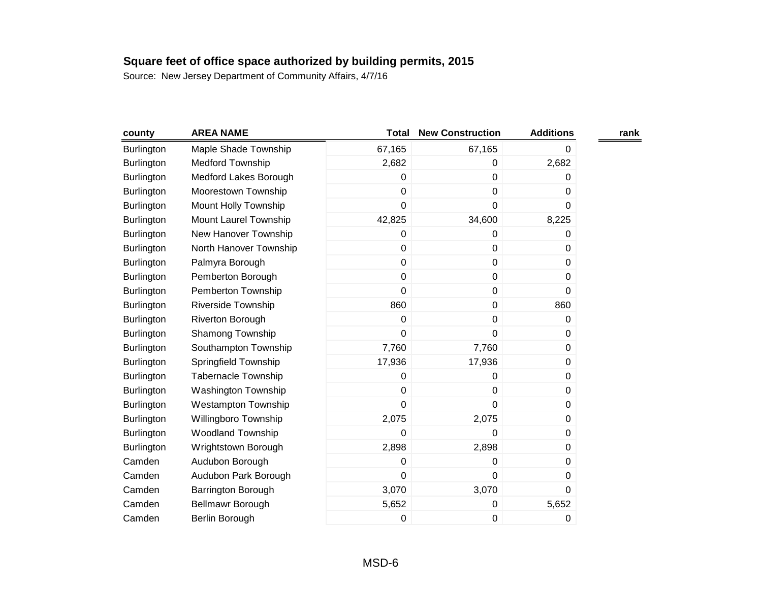| county            | <b>AREA NAME</b>           | <b>Total</b> | <b>New Construction</b> | <b>Additions</b> | rank |
|-------------------|----------------------------|--------------|-------------------------|------------------|------|
| <b>Burlington</b> | Maple Shade Township       | 67,165       | 67,165                  | 0                |      |
| <b>Burlington</b> | <b>Medford Township</b>    | 2,682        | $\boldsymbol{0}$        | 2,682            |      |
| <b>Burlington</b> | Medford Lakes Borough      | $\Omega$     | 0                       | 0                |      |
| Burlington        | Moorestown Township        | $\mathbf 0$  | $\mathbf 0$             | 0                |      |
| <b>Burlington</b> | Mount Holly Township       | 0            | $\boldsymbol{0}$        | 0                |      |
| <b>Burlington</b> | Mount Laurel Township      | 42,825       | 34,600                  | 8,225            |      |
| <b>Burlington</b> | New Hanover Township       | 0            | $\boldsymbol{0}$        | 0                |      |
| Burlington        | North Hanover Township     | 0            | $\mathbf 0$             | 0                |      |
| <b>Burlington</b> | Palmyra Borough            | 0            | $\mathbf 0$             | 0                |      |
| <b>Burlington</b> | Pemberton Borough          | $\mathbf 0$  | $\pmb{0}$               | 0                |      |
| Burlington        | Pemberton Township         | 0            | 0                       | 0                |      |
| <b>Burlington</b> | Riverside Township         | 860          | $\boldsymbol{0}$        | 860              |      |
| <b>Burlington</b> | Riverton Borough           | 0            | $\pmb{0}$               | 0                |      |
| Burlington        | Shamong Township           | 0            | $\mathbf 0$             | 0                |      |
| <b>Burlington</b> | Southampton Township       | 7,760        | 7,760                   | $\boldsymbol{0}$ |      |
| <b>Burlington</b> | Springfield Township       | 17,936       | 17,936                  | 0                |      |
| <b>Burlington</b> | <b>Tabernacle Township</b> | 0            | 0                       | 0                |      |
| <b>Burlington</b> | <b>Washington Township</b> | 0            | $\boldsymbol{0}$        | 0                |      |
| <b>Burlington</b> | <b>Westampton Township</b> | 0            | 0                       | 0                |      |
| <b>Burlington</b> | Willingboro Township       | 2,075        | 2,075                   | 0                |      |
| <b>Burlington</b> | <b>Woodland Township</b>   | 0            | 0                       | 0                |      |
| <b>Burlington</b> | Wrightstown Borough        | 2,898        | 2,898                   | 0                |      |
| Camden            | Audubon Borough            | 0            | $\boldsymbol{0}$        | 0                |      |
| Camden            | Audubon Park Borough       | 0            | $\mathbf 0$             | 0                |      |
| Camden            | Barrington Borough         | 3,070        | 3,070                   | 0                |      |
| Camden            | Bellmawr Borough           | 5,652        | $\boldsymbol{0}$        | 5,652            |      |
| Camden            | Berlin Borough             | 0            | 0                       | 0                |      |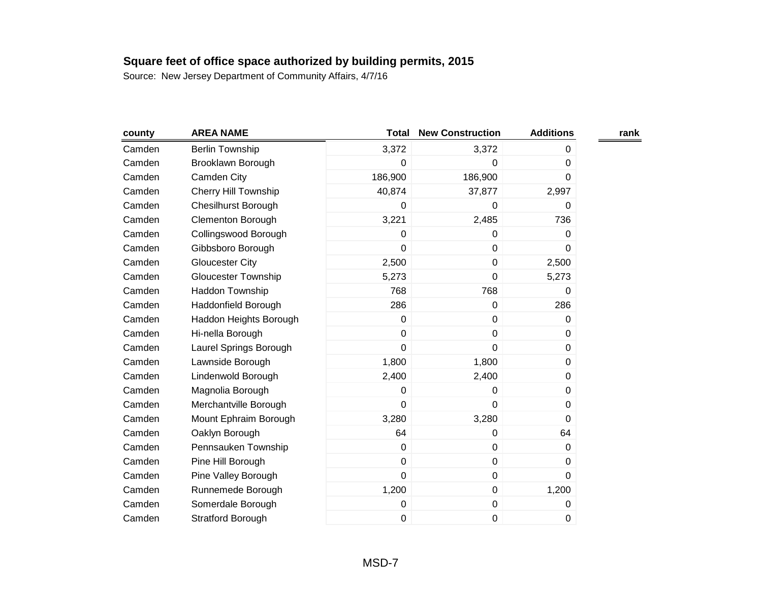| county | <b>AREA NAME</b>            | Total   | <b>New Construction</b> | <b>Additions</b> | rank |
|--------|-----------------------------|---------|-------------------------|------------------|------|
| Camden | <b>Berlin Township</b>      | 3,372   | 3,372                   | 0                |      |
| Camden | Brooklawn Borough           | 0       | 0                       | 0                |      |
| Camden | Camden City                 | 186,900 | 186,900                 | 0                |      |
| Camden | <b>Cherry Hill Township</b> | 40,874  | 37,877                  | 2,997            |      |
| Camden | <b>Chesilhurst Borough</b>  | 0       | 0                       | 0                |      |
| Camden | <b>Clementon Borough</b>    | 3,221   | 2,485                   | 736              |      |
| Camden | Collingswood Borough        | 0       | 0                       | 0                |      |
| Camden | Gibbsboro Borough           | 0       | $\mathbf 0$             | 0                |      |
| Camden | <b>Gloucester City</b>      | 2,500   | $\pmb{0}$               | 2,500            |      |
| Camden | <b>Gloucester Township</b>  | 5,273   | $\mathbf 0$             | 5,273            |      |
| Camden | Haddon Township             | 768     | 768                     | 0                |      |
| Camden | Haddonfield Borough         | 286     | $\mathbf 0$             | 286              |      |
| Camden | Haddon Heights Borough      | 0       | $\pmb{0}$               | 0                |      |
| Camden | Hi-nella Borough            | 0       | $\mathbf 0$             | 0                |      |
| Camden | Laurel Springs Borough      | 0       | $\pmb{0}$               | 0                |      |
| Camden | Lawnside Borough            | 1,800   | 1,800                   | 0                |      |
| Camden | Lindenwold Borough          | 2,400   | 2,400                   | 0                |      |
| Camden | Magnolia Borough            | 0       | 0                       | 0                |      |
| Camden | Merchantville Borough       | 0       | $\mathbf 0$             | 0                |      |
| Camden | Mount Ephraim Borough       | 3,280   | 3,280                   | $\Omega$         |      |
| Camden | Oaklyn Borough              | 64      | $\mathbf 0$             | 64               |      |
| Camden | Pennsauken Township         | 0       | $\pmb{0}$               | 0                |      |
| Camden | Pine Hill Borough           | 0       | $\mathbf 0$             | 0                |      |
| Camden | Pine Valley Borough         | 0       | $\mathbf 0$             | $\Omega$         |      |
| Camden | Runnemede Borough           | 1,200   | $\pmb{0}$               | 1,200            |      |
| Camden | Somerdale Borough           | 0       | $\pmb{0}$               | 0                |      |
| Camden | <b>Stratford Borough</b>    | 0       | $\pmb{0}$               | 0                |      |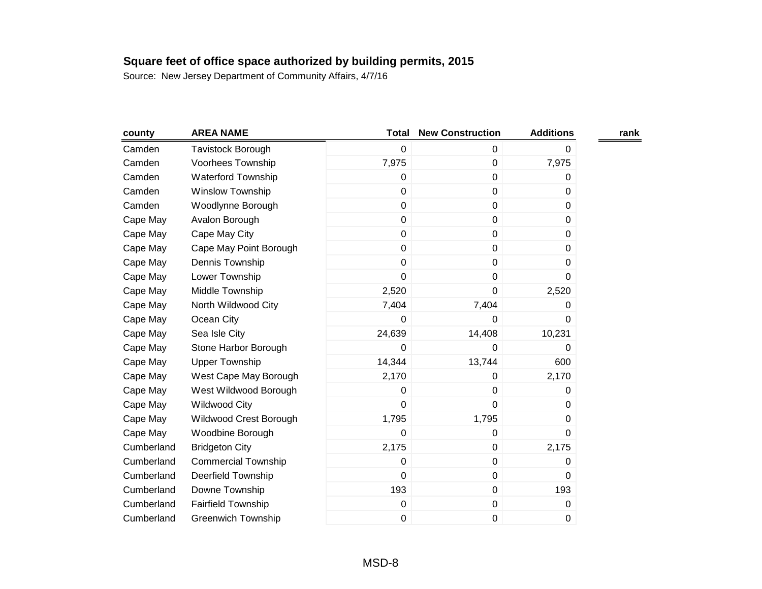| county     | <b>AREA NAME</b>           | <b>Total</b> | <b>New Construction</b> | <b>Additions</b> | rank |
|------------|----------------------------|--------------|-------------------------|------------------|------|
| Camden     | Tavistock Borough          | 0            | 0                       | 0                |      |
| Camden     | Voorhees Township          | 7,975        | $\mathbf 0$             | 7,975            |      |
| Camden     | <b>Waterford Township</b>  | 0            | $\pmb{0}$               | 0                |      |
| Camden     | <b>Winslow Township</b>    | 0            | $\pmb{0}$               | 0                |      |
| Camden     | Woodlynne Borough          | 0            | 0                       | 0                |      |
| Cape May   | Avalon Borough             | 0            | 0                       | 0                |      |
| Cape May   | Cape May City              | 0            | $\pmb{0}$               | 0                |      |
| Cape May   | Cape May Point Borough     | 0            | 0                       | 0                |      |
| Cape May   | Dennis Township            | 0            | 0                       | 0                |      |
| Cape May   | Lower Township             | 0            | $\pmb{0}$               | 0                |      |
| Cape May   | Middle Township            | 2,520        | 0                       | 2,520            |      |
| Cape May   | North Wildwood City        | 7,404        | 7,404                   | 0                |      |
| Cape May   | Ocean City                 | 0            | 0                       | 0                |      |
| Cape May   | Sea Isle City              | 24,639       | 14,408                  | 10,231           |      |
| Cape May   | Stone Harbor Borough       | 0            | 0                       | 0                |      |
| Cape May   | <b>Upper Township</b>      | 14,344       | 13,744                  | 600              |      |
| Cape May   | West Cape May Borough      | 2,170        | 0                       | 2,170            |      |
| Cape May   | West Wildwood Borough      | 0            | 0                       | 0                |      |
| Cape May   | <b>Wildwood City</b>       | 0            | 0                       | 0                |      |
| Cape May   | Wildwood Crest Borough     | 1,795        | 1,795                   | 0                |      |
| Cape May   | Woodbine Borough           | 0            | 0                       | $\Omega$         |      |
| Cumberland | <b>Bridgeton City</b>      | 2,175        | $\pmb{0}$               | 2,175            |      |
| Cumberland | <b>Commercial Township</b> | 0            | $\pmb{0}$               | 0                |      |
| Cumberland | <b>Deerfield Township</b>  | 0            | $\pmb{0}$               | 0                |      |
| Cumberland | Downe Township             | 193          | $\pmb{0}$               | 193              |      |
| Cumberland | <b>Fairfield Township</b>  | 0            | $\pmb{0}$               | 0                |      |
| Cumberland | <b>Greenwich Township</b>  | 0            | 0                       | 0                |      |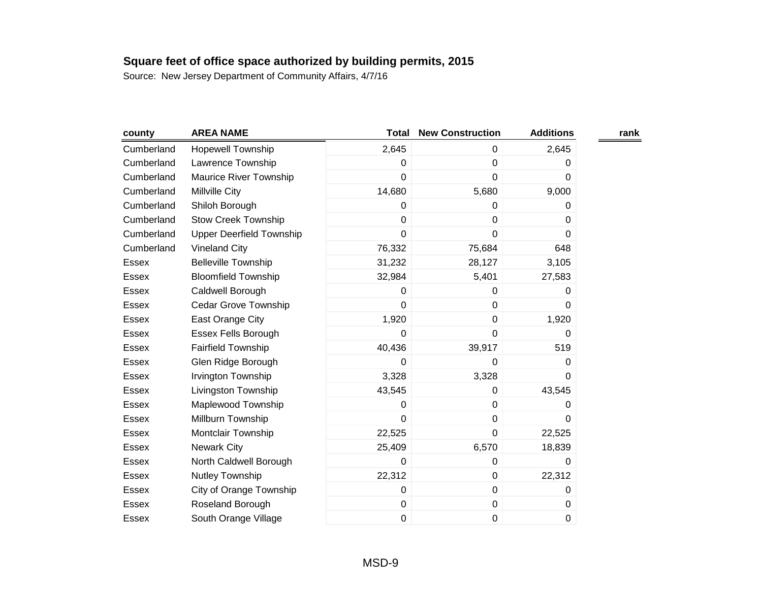| county       | <b>AREA NAME</b>                | <b>Total</b>   | <b>New Construction</b> | <b>Additions</b> | rank |
|--------------|---------------------------------|----------------|-------------------------|------------------|------|
| Cumberland   | <b>Hopewell Township</b>        | 2,645          | 0                       | 2,645            |      |
| Cumberland   | Lawrence Township               | 0              | $\pmb{0}$               | 0                |      |
| Cumberland   | Maurice River Township          | $\overline{0}$ | $\mathbf 0$             | 0                |      |
| Cumberland   | Millville City                  | 14,680         | 5,680                   | 9,000            |      |
| Cumberland   | Shiloh Borough                  | 0              | 0                       | 0                |      |
| Cumberland   | <b>Stow Creek Township</b>      | 0              | $\mathbf 0$             | 0                |      |
| Cumberland   | <b>Upper Deerfield Township</b> | 0              | $\pmb{0}$               | 0                |      |
| Cumberland   | <b>Vineland City</b>            | 76,332         | 75,684                  | 648              |      |
| <b>Essex</b> | <b>Belleville Township</b>      | 31,232         | 28,127                  | 3,105            |      |
| <b>Essex</b> | <b>Bloomfield Township</b>      | 32,984         | 5,401                   | 27,583           |      |
| Essex        | Caldwell Borough                | 0              | $\mathbf 0$             | 0                |      |
| Essex        | Cedar Grove Township            | 0              | $\mathbf 0$             | $\Omega$         |      |
| Essex        | East Orange City                | 1,920          | $\pmb{0}$               | 1,920            |      |
| Essex        | Essex Fells Borough             | 0              | $\pmb{0}$               | 0                |      |
| Essex        | <b>Fairfield Township</b>       | 40,436         | 39,917                  | 519              |      |
| Essex        | Glen Ridge Borough              | 0              | 0                       | 0                |      |
| Essex        | Irvington Township              | 3,328          | 3,328                   | 0                |      |
| Essex        | Livingston Township             | 43,545         | $\mathbf 0$             | 43,545           |      |
| Essex        | Maplewood Township              | 0              | 0                       | 0                |      |
| <b>Essex</b> | Millburn Township               | 0              | $\pmb{0}$               | 0                |      |
| Essex        | Montclair Township              | 22,525         | $\pmb{0}$               | 22,525           |      |
| <b>Essex</b> | <b>Newark City</b>              | 25,409         | 6,570                   | 18,839           |      |
| Essex        | North Caldwell Borough          | 0              | 0                       | 0                |      |
| Essex        | Nutley Township                 | 22,312         | $\pmb{0}$               | 22,312           |      |
| <b>Essex</b> | City of Orange Township         | 0              | $\pmb{0}$               | 0                |      |
| <b>Essex</b> | Roseland Borough                | 0              | $\pmb{0}$               | 0                |      |
| <b>Essex</b> | South Orange Village            | 0              | $\pmb{0}$               | 0                |      |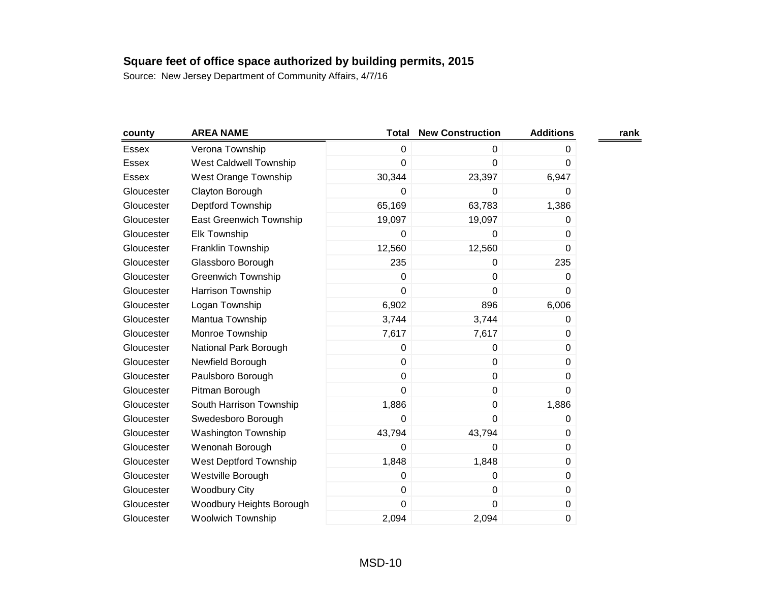| county     | <b>AREA NAME</b>              | <b>Total</b>   | <b>New Construction</b> | <b>Additions</b> | rank |
|------------|-------------------------------|----------------|-------------------------|------------------|------|
| Essex      | Verona Township               | 0              | 0                       | 0                |      |
| Essex      | <b>West Caldwell Township</b> | 0              | 0                       | 0                |      |
| Essex      | West Orange Township          | 30,344         | 23,397                  | 6,947            |      |
| Gloucester | Clayton Borough               | 0              | 0                       | 0                |      |
| Gloucester | Deptford Township             | 65,169         | 63,783                  | 1,386            |      |
| Gloucester | East Greenwich Township       | 19,097         | 19,097                  | 0                |      |
| Gloucester | Elk Township                  | 0              | 0                       | 0                |      |
| Gloucester | Franklin Township             | 12,560         | 12,560                  | 0                |      |
| Gloucester | Glassboro Borough             | 235            | 0                       | 235              |      |
| Gloucester | <b>Greenwich Township</b>     | 0              | $\pmb{0}$               | 0                |      |
| Gloucester | Harrison Township             | 0              | $\mathbf 0$             | 0                |      |
| Gloucester | Logan Township                | 6,902          | 896                     | 6,006            |      |
| Gloucester | Mantua Township               | 3,744          | 3,744                   | 0                |      |
| Gloucester | Monroe Township               | 7,617          | 7,617                   | 0                |      |
| Gloucester | National Park Borough         | 0              | 0                       | $\Omega$         |      |
| Gloucester | Newfield Borough              | 0              | $\pmb{0}$               | 0                |      |
| Gloucester | Paulsboro Borough             | 0              | $\mathbf 0$             | 0                |      |
| Gloucester | Pitman Borough                | $\overline{0}$ | $\pmb{0}$               | 0                |      |
| Gloucester | South Harrison Township       | 1,886          | $\mathbf 0$             | 1,886            |      |
| Gloucester | Swedesboro Borough            | 0              | $\mathbf 0$             | 0                |      |
| Gloucester | Washington Township           | 43,794         | 43,794                  | 0                |      |
| Gloucester | Wenonah Borough               | 0              | 0                       | 0                |      |
| Gloucester | West Deptford Township        | 1,848          | 1,848                   | 0                |      |
| Gloucester | Westville Borough             | 0              | 0                       | 0                |      |
| Gloucester | <b>Woodbury City</b>          | 0              | 0                       | 0                |      |
| Gloucester | Woodbury Heights Borough      | $\mathbf 0$    | $\mathbf 0$             | 0                |      |
| Gloucester | <b>Woolwich Township</b>      | 2,094          | 2,094                   | 0                |      |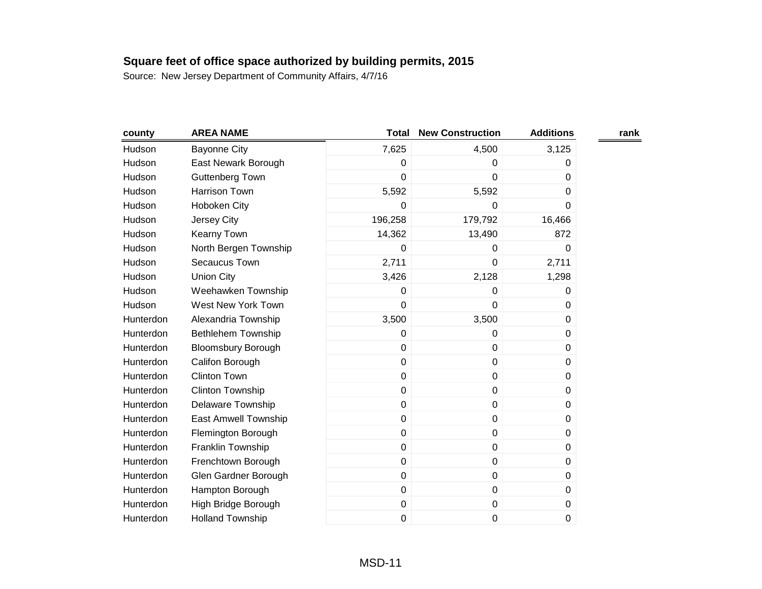| county    | <b>AREA NAME</b>          | Total   | <b>New Construction</b> | <b>Additions</b> | rank |
|-----------|---------------------------|---------|-------------------------|------------------|------|
| Hudson    | <b>Bayonne City</b>       | 7,625   | 4,500                   | 3,125            |      |
| Hudson    | East Newark Borough       | 0       | 0                       | 0                |      |
| Hudson    | Guttenberg Town           | 0       | 0                       | 0                |      |
| Hudson    | <b>Harrison Town</b>      | 5,592   | 5,592                   | 0                |      |
| Hudson    | Hoboken City              | 0       | 0                       | 0                |      |
| Hudson    | <b>Jersey City</b>        | 196,258 | 179,792                 | 16,466           |      |
| Hudson    | Kearny Town               | 14,362  | 13,490                  | 872              |      |
| Hudson    | North Bergen Township     | 0       | 0                       | 0                |      |
| Hudson    | Secaucus Town             | 2,711   | 0                       | 2,711            |      |
| Hudson    | <b>Union City</b>         | 3,426   | 2,128                   | 1,298            |      |
| Hudson    | Weehawken Township        | 0       | 0                       | 0                |      |
| Hudson    | West New York Town        | 0       | 0                       | 0                |      |
| Hunterdon | Alexandria Township       | 3,500   | 3,500                   | 0                |      |
| Hunterdon | Bethlehem Township        | 0       | $\mathbf 0$             | $\Omega$         |      |
| Hunterdon | <b>Bloomsbury Borough</b> | 0       | $\pmb{0}$               | 0                |      |
| Hunterdon | Califon Borough           | 0       | $\mathbf 0$             | 0                |      |
| Hunterdon | <b>Clinton Town</b>       | 0       | 0                       | 0                |      |
| Hunterdon | <b>Clinton Township</b>   | 0       | $\pmb{0}$               | 0                |      |
| Hunterdon | <b>Delaware Township</b>  | 0       | $\pmb{0}$               | 0                |      |
| Hunterdon | East Amwell Township      | 0       | $\pmb{0}$               | 0                |      |
| Hunterdon | Flemington Borough        | 0       | $\pmb{0}$               | 0                |      |
| Hunterdon | Franklin Township         | 0       | $\pmb{0}$               | 0                |      |
| Hunterdon | Frenchtown Borough        | 0       | $\mathbf 0$             | 0                |      |
| Hunterdon | Glen Gardner Borough      | 0       | $\pmb{0}$               | 0                |      |
| Hunterdon | Hampton Borough           | 0       | $\mathbf 0$             | $\Omega$         |      |
| Hunterdon | High Bridge Borough       | 0       | $\pmb{0}$               | 0                |      |
| Hunterdon | <b>Holland Township</b>   | 0       | $\pmb{0}$               | 0                |      |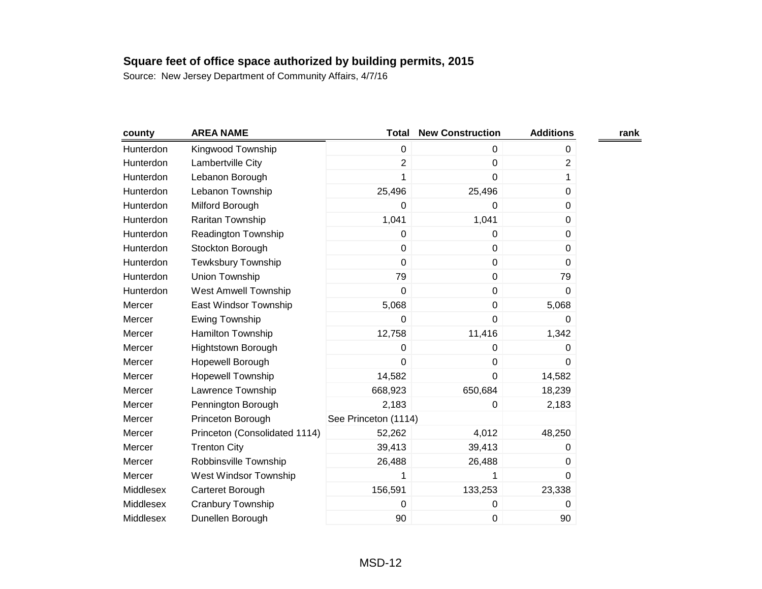| county    | <b>AREA NAME</b>              | <b>Total</b>         | <b>New Construction</b> | <b>Additions</b> | rank |
|-----------|-------------------------------|----------------------|-------------------------|------------------|------|
| Hunterdon | Kingwood Township             | $\mathbf 0$          | $\mathbf 0$             | 0                |      |
| Hunterdon | Lambertville City             | $\overline{2}$       | $\mathbf 0$             | $\overline{2}$   |      |
| Hunterdon | Lebanon Borough               |                      | 0                       | 1                |      |
| Hunterdon | Lebanon Township              | 25,496               | 25,496                  | $\pmb{0}$        |      |
| Hunterdon | Milford Borough               | 0                    | 0                       | 0                |      |
| Hunterdon | Raritan Township              | 1,041                | 1,041                   | 0                |      |
| Hunterdon | Readington Township           | 0                    | $\mathbf 0$             | 0                |      |
| Hunterdon | Stockton Borough              | $\mathbf 0$          | $\mathbf 0$             | $\Omega$         |      |
| Hunterdon | <b>Tewksbury Township</b>     | $\mathbf 0$          | $\pmb{0}$               | 0                |      |
| Hunterdon | Union Township                | 79                   | $\pmb{0}$               | 79               |      |
| Hunterdon | <b>West Amwell Township</b>   | $\mathbf 0$          | $\pmb{0}$               | 0                |      |
| Mercer    | East Windsor Township         | 5,068                | $\pmb{0}$               | 5,068            |      |
| Mercer    | Ewing Township                | 0                    | $\mathbf 0$             | 0                |      |
| Mercer    | Hamilton Township             | 12,758               | 11,416                  | 1,342            |      |
| Mercer    | <b>Hightstown Borough</b>     | 0                    | 0                       | 0                |      |
| Mercer    | Hopewell Borough              | 0                    | 0                       | 0                |      |
| Mercer    | <b>Hopewell Township</b>      | 14,582               | $\mathbf 0$             | 14,582           |      |
| Mercer    | Lawrence Township             | 668,923              | 650,684                 | 18,239           |      |
| Mercer    | Pennington Borough            | 2,183                | 0                       | 2,183            |      |
| Mercer    | Princeton Borough             | See Princeton (1114) |                         |                  |      |
| Mercer    | Princeton (Consolidated 1114) | 52,262               | 4,012                   | 48,250           |      |
| Mercer    | <b>Trenton City</b>           | 39,413               | 39,413                  | 0                |      |
| Mercer    | Robbinsville Township         | 26,488               | 26,488                  | 0                |      |
| Mercer    | West Windsor Township         | 1                    | 1                       | $\Omega$         |      |
| Middlesex | Carteret Borough              | 156,591              | 133,253                 | 23,338           |      |
| Middlesex | Cranbury Township             | 0                    | 0                       | 0                |      |
| Middlesex | Dunellen Borough              | 90                   | 0                       | 90               |      |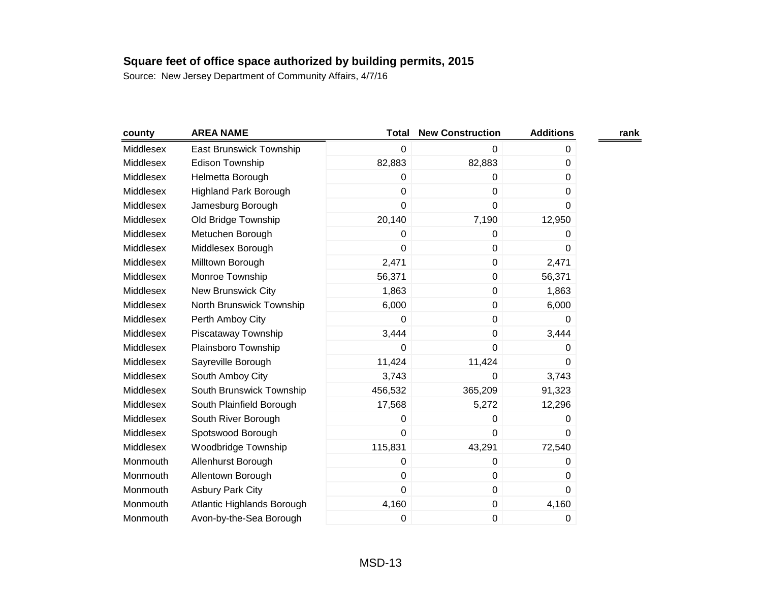| county    | <b>AREA NAME</b>             | <b>Total</b> | <b>New Construction</b> | <b>Additions</b> | rank |
|-----------|------------------------------|--------------|-------------------------|------------------|------|
| Middlesex | East Brunswick Township      | 0            | 0                       | 0                |      |
| Middlesex | <b>Edison Township</b>       | 82,883       | 82,883                  | 0                |      |
| Middlesex | Helmetta Borough             | 0            | 0                       | 0                |      |
| Middlesex | <b>Highland Park Borough</b> | 0            | $\mathbf 0$             | 0                |      |
| Middlesex | Jamesburg Borough            | 0            | $\mathbf 0$             | 0                |      |
| Middlesex | Old Bridge Township          | 20,140       | 7,190                   | 12,950           |      |
| Middlesex | Metuchen Borough             | 0            | 0                       | 0                |      |
| Middlesex | Middlesex Borough            | 0            | $\mathbf 0$             | 0                |      |
| Middlesex | Milltown Borough             | 2,471        | $\mathbf 0$             | 2,471            |      |
| Middlesex | Monroe Township              | 56,371       | $\pmb{0}$               | 56,371           |      |
| Middlesex | New Brunswick City           | 1,863        | 0                       | 1,863            |      |
| Middlesex | North Brunswick Township     | 6,000        | $\pmb{0}$               | 6,000            |      |
| Middlesex | Perth Amboy City             | 0            | $\pmb{0}$               | 0                |      |
| Middlesex | Piscataway Township          | 3,444        | $\mathbf 0$             | 3,444            |      |
| Middlesex | Plainsboro Township          | 0            | $\mathbf 0$             | 0                |      |
| Middlesex | Sayreville Borough           | 11,424       | 11,424                  | 0                |      |
| Middlesex | South Amboy City             | 3,743        | 0                       | 3,743            |      |
| Middlesex | South Brunswick Township     | 456,532      | 365,209                 | 91,323           |      |
| Middlesex | South Plainfield Borough     | 17,568       | 5,272                   | 12,296           |      |
| Middlesex | South River Borough          | 0            | $\pmb{0}$               | 0                |      |
| Middlesex | Spotswood Borough            | 0            | $\mathbf 0$             | $\Omega$         |      |
| Middlesex | Woodbridge Township          | 115,831      | 43,291                  | 72,540           |      |
| Monmouth  | Allenhurst Borough           | 0            | $\mathbf 0$             | 0                |      |
| Monmouth  | Allentown Borough            | 0            | $\mathbf 0$             | $\Omega$         |      |
| Monmouth  | <b>Asbury Park City</b>      | 0            | $\mathbf 0$             | 0                |      |
| Monmouth  | Atlantic Highlands Borough   | 4,160        | $\pmb{0}$               | 4,160            |      |
| Monmouth  | Avon-by-the-Sea Borough      | 0            | $\pmb{0}$               | 0                |      |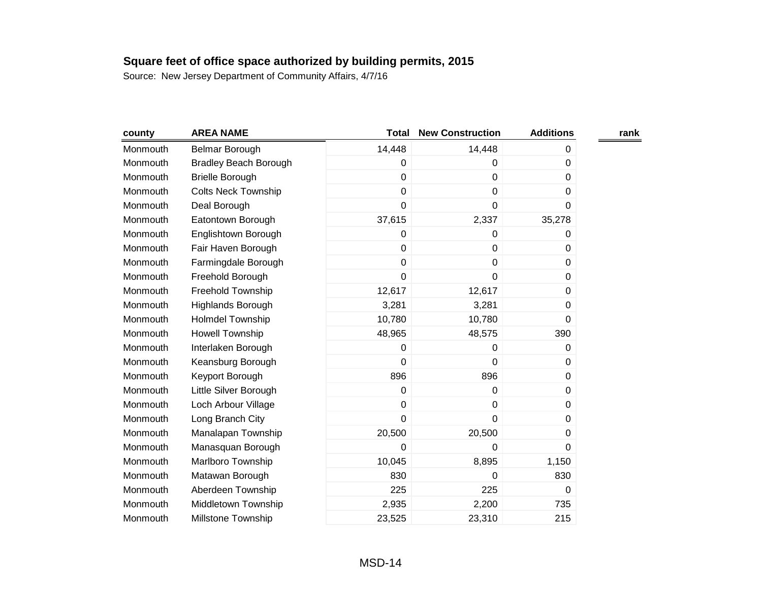| county   | <b>AREA NAME</b>             | Total          | <b>New Construction</b> | <b>Additions</b> | rank |
|----------|------------------------------|----------------|-------------------------|------------------|------|
| Monmouth | Belmar Borough               | 14,448         | 14,448                  | 0                |      |
| Monmouth | <b>Bradley Beach Borough</b> | 0              | 0                       | 0                |      |
| Monmouth | <b>Brielle Borough</b>       | 0              | $\mathbf 0$             | 0                |      |
| Monmouth | <b>Colts Neck Township</b>   | 0              | $\mathbf 0$             | 0                |      |
| Monmouth | Deal Borough                 | 0              | 0                       | 0                |      |
| Monmouth | Eatontown Borough            | 37,615         | 2,337                   | 35,278           |      |
| Monmouth | Englishtown Borough          | 0              | 0                       | 0                |      |
| Monmouth | Fair Haven Borough           | $\overline{0}$ | $\mathbf 0$             | 0                |      |
| Monmouth | Farmingdale Borough          | 0              | $\pmb{0}$               | 0                |      |
| Monmouth | Freehold Borough             | 0              | $\mathbf 0$             | 0                |      |
| Monmouth | Freehold Township            | 12,617         | 12,617                  | 0                |      |
| Monmouth | Highlands Borough            | 3,281          | 3,281                   | 0                |      |
| Monmouth | Holmdel Township             | 10,780         | 10,780                  | 0                |      |
| Monmouth | Howell Township              | 48,965         | 48,575                  | 390              |      |
| Monmouth | Interlaken Borough           | 0              | 0                       | 0                |      |
| Monmouth | Keansburg Borough            | 0              | 0                       | 0                |      |
| Monmouth | Keyport Borough              | 896            | 896                     | 0                |      |
| Monmouth | Little Silver Borough        | 0              | $\mathbf 0$             | 0                |      |
| Monmouth | Loch Arbour Village          | 0              | 0                       | 0                |      |
| Monmouth | Long Branch City             | 0              | $\mathbf 0$             | 0                |      |
| Monmouth | Manalapan Township           | 20,500         | 20,500                  | 0                |      |
| Monmouth | Manasquan Borough            | 0              | 0                       | 0                |      |
| Monmouth | Marlboro Township            | 10,045         | 8,895                   | 1,150            |      |
| Monmouth | Matawan Borough              | 830            | 0                       | 830              |      |
| Monmouth | Aberdeen Township            | 225            | 225                     | 0                |      |
| Monmouth | Middletown Township          | 2,935          | 2,200                   | 735              |      |
| Monmouth | Millstone Township           | 23,525         | 23,310                  | 215              |      |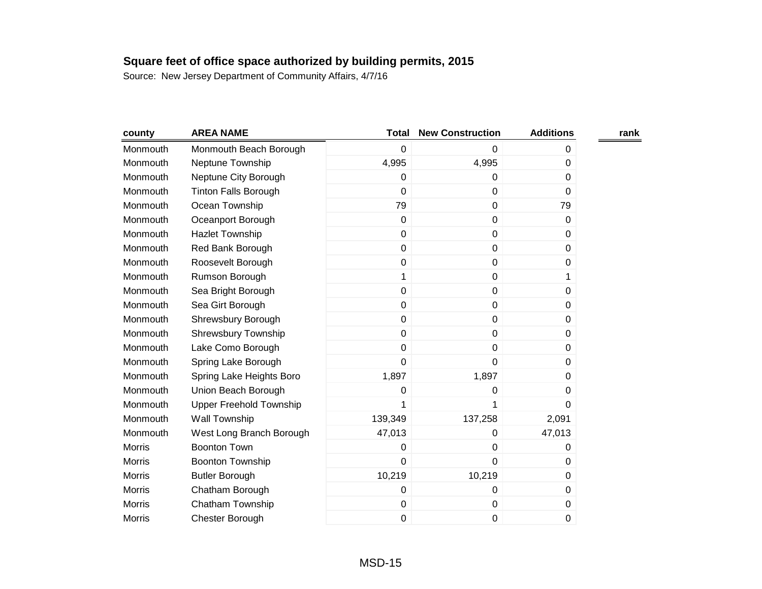| county        | <b>AREA NAME</b>               | Total          | <b>New Construction</b> | <b>Additions</b> | rank |
|---------------|--------------------------------|----------------|-------------------------|------------------|------|
| Monmouth      | Monmouth Beach Borough         | 0              | 0                       | 0                |      |
| Monmouth      | Neptune Township               | 4,995          | 4,995                   | 0                |      |
| Monmouth      | Neptune City Borough           | 0              | 0                       | 0                |      |
| Monmouth      | <b>Tinton Falls Borough</b>    | $\mathbf 0$    | $\pmb{0}$               | 0                |      |
| Monmouth      | Ocean Township                 | 79             | 0                       | 79               |      |
| Monmouth      | Oceanport Borough              | $\pmb{0}$      | $\pmb{0}$               | 0                |      |
| Monmouth      | <b>Hazlet Township</b>         | $\pmb{0}$      | $\pmb{0}$               | 0                |      |
| Monmouth      | Red Bank Borough               | $\mathbf 0$    | 0                       | 0                |      |
| Monmouth      | Roosevelt Borough              | $\pmb{0}$      | $\pmb{0}$               | 0                |      |
| Monmouth      | Rumson Borough                 | 1              | $\mathbf 0$             | 1                |      |
| Monmouth      | Sea Bright Borough             | $\mathbf 0$    | 0                       | 0                |      |
| Monmouth      | Sea Girt Borough               | $\mathbf 0$    | $\pmb{0}$               | 0                |      |
| Monmouth      | Shrewsbury Borough             | $\mathbf 0$    | $\pmb{0}$               | 0                |      |
| Monmouth      | <b>Shrewsbury Township</b>     | $\overline{0}$ | 0                       | 0                |      |
| Monmouth      | Lake Como Borough              | $\pmb{0}$      | 0                       | 0                |      |
| Monmouth      | Spring Lake Borough            | 0              | 0                       | 0                |      |
| Monmouth      | Spring Lake Heights Boro       | 1,897          | 1,897                   | 0                |      |
| Monmouth      | Union Beach Borough            | 0              | 0                       | 0                |      |
| Monmouth      | <b>Upper Freehold Township</b> | 1              | 1                       | 0                |      |
| Monmouth      | Wall Township                  | 139,349        | 137,258                 | 2,091            |      |
| Monmouth      | West Long Branch Borough       | 47,013         | 0                       | 47,013           |      |
| <b>Morris</b> | <b>Boonton Town</b>            | 0              | 0                       | 0                |      |
| <b>Morris</b> | <b>Boonton Township</b>        | $\overline{0}$ | $\mathbf 0$             | 0                |      |
| <b>Morris</b> | <b>Butler Borough</b>          | 10,219         | 10,219                  | 0                |      |
| <b>Morris</b> | Chatham Borough                | 0              | 0                       | 0                |      |
| Morris        | Chatham Township               | $\pmb{0}$      | $\pmb{0}$               | 0                |      |
| <b>Morris</b> | Chester Borough                | 0              | 0                       | 0                |      |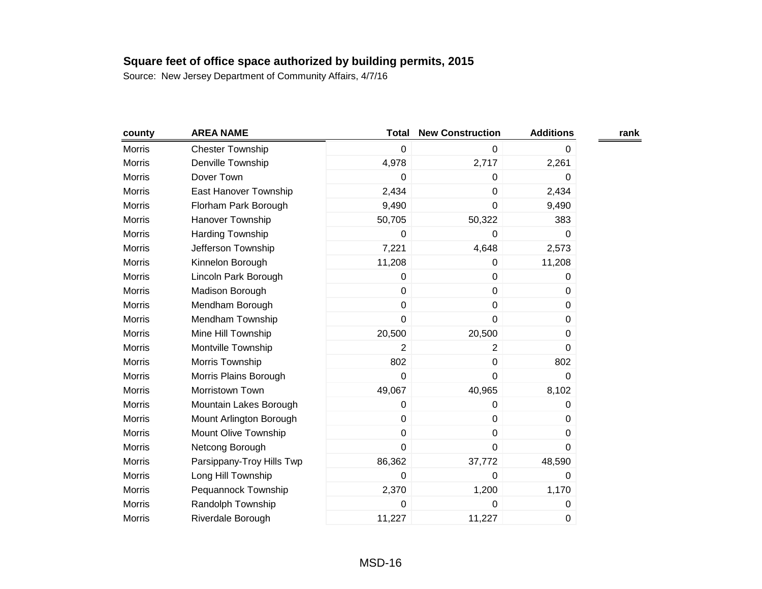| county        | <b>AREA NAME</b>          | <b>Total</b>   | <b>New Construction</b> | <b>Additions</b> | rank |
|---------------|---------------------------|----------------|-------------------------|------------------|------|
| Morris        | <b>Chester Township</b>   | $\mathbf 0$    | $\mathbf 0$             | 0                |      |
| Morris        | Denville Township         | 4,978          | 2,717                   | 2,261            |      |
| Morris        | Dover Town                | 0              | 0                       | 0                |      |
| <b>Morris</b> | East Hanover Township     | 2,434          | $\pmb{0}$               | 2,434            |      |
| Morris        | Florham Park Borough      | 9,490          | 0                       | 9,490            |      |
| Morris        | Hanover Township          | 50,705         | 50,322                  | 383              |      |
| Morris        | Harding Township          | 0              | 0                       | 0                |      |
| <b>Morris</b> | Jefferson Township        | 7,221          | 4,648                   | 2,573            |      |
| Morris        | Kinnelon Borough          | 11,208         | 0                       | 11,208           |      |
| Morris        | Lincoln Park Borough      | 0              | $\pmb{0}$               | 0                |      |
| Morris        | Madison Borough           | $\mathbf 0$    | 0                       | 0                |      |
| Morris        | Mendham Borough           | $\mathbf 0$    | $\pmb{0}$               | 0                |      |
| <b>Morris</b> | Mendham Township          | $\mathbf 0$    | 0                       | 0                |      |
| Morris        | Mine Hill Township        | 20,500         | 20,500                  | 0                |      |
| Morris        | Montville Township        | $\overline{2}$ | 2                       | 0                |      |
| Morris        | Morris Township           | 802            | 0                       | 802              |      |
| Morris        | Morris Plains Borough     | $\mathbf 0$    | $\mathbf 0$             | 0                |      |
| <b>Morris</b> | Morristown Town           | 49,067         | 40,965                  | 8,102            |      |
| Morris        | Mountain Lakes Borough    | 0              | 0                       | 0                |      |
| <b>Morris</b> | Mount Arlington Borough   | $\mathbf 0$    | $\mathbf 0$             | 0                |      |
| Morris        | Mount Olive Township      | $\pmb{0}$      | 0                       | 0                |      |
| Morris        | Netcong Borough           | $\mathbf 0$    | 0                       | 0                |      |
| Morris        | Parsippany-Troy Hills Twp | 86,362         | 37,772                  | 48,590           |      |
| Morris        | Long Hill Township        | 0              | 0                       | 0                |      |
| Morris        | Pequannock Township       | 2,370          | 1,200                   | 1,170            |      |
| Morris        | Randolph Township         | 0              | 0                       | 0                |      |
| Morris        | Riverdale Borough         | 11,227         | 11,227                  | 0                |      |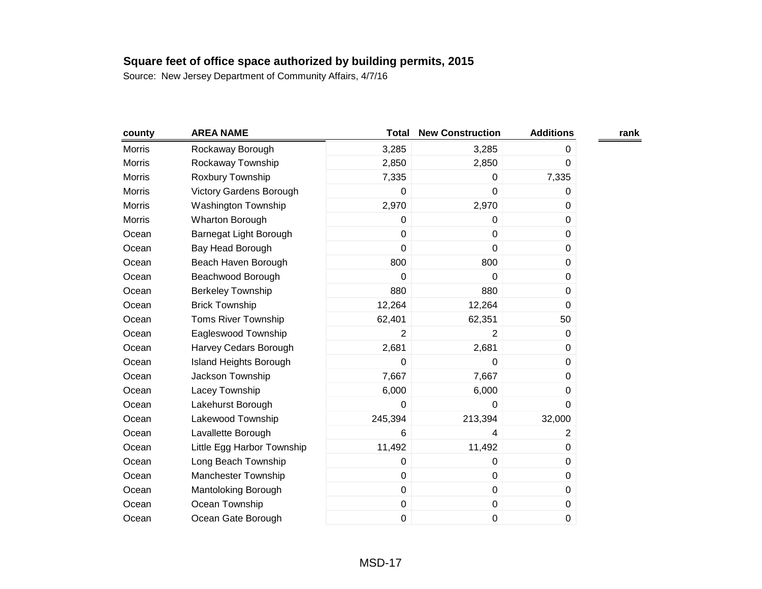| county        | <b>AREA NAME</b>           | <b>Total</b>   | <b>New Construction</b> | <b>Additions</b> | rank |
|---------------|----------------------------|----------------|-------------------------|------------------|------|
| Morris        | Rockaway Borough           | 3,285          | 3,285                   | 0                |      |
| <b>Morris</b> | Rockaway Township          | 2,850          | 2,850                   | 0                |      |
| <b>Morris</b> | Roxbury Township           | 7,335          | 0                       | 7,335            |      |
| Morris        | Victory Gardens Borough    | $\mathbf 0$    | $\mathbf 0$             | 0                |      |
| <b>Morris</b> | <b>Washington Township</b> | 2,970          | 2,970                   | 0                |      |
| <b>Morris</b> | <b>Wharton Borough</b>     | 0              | 0                       | 0                |      |
| Ocean         | Barnegat Light Borough     | $\mathbf 0$    | $\pmb{0}$               | $\mathbf 0$      |      |
| Ocean         | Bay Head Borough           | $\mathbf 0$    | $\mathbf 0$             | 0                |      |
| Ocean         | Beach Haven Borough        | 800            | 800                     | 0                |      |
| Ocean         | Beachwood Borough          | $\mathbf 0$    | $\mathbf 0$             | 0                |      |
| Ocean         | <b>Berkeley Township</b>   | 880            | 880                     | 0                |      |
| Ocean         | <b>Brick Township</b>      | 12,264         | 12,264                  | 0                |      |
| Ocean         | <b>Toms River Township</b> | 62,401         | 62,351                  | 50               |      |
| Ocean         | Eagleswood Township        | $\overline{2}$ | 2                       | 0                |      |
| Ocean         | Harvey Cedars Borough      | 2,681          | 2,681                   | 0                |      |
| Ocean         | Island Heights Borough     | 0              | 0                       | 0                |      |
| Ocean         | Jackson Township           | 7,667          | 7,667                   | 0                |      |
| Ocean         | Lacey Township             | 6,000          | 6,000                   | 0                |      |
| Ocean         | Lakehurst Borough          | 0              | 0                       | 0                |      |
| Ocean         | Lakewood Township          | 245,394        | 213,394                 | 32,000           |      |
| Ocean         | Lavallette Borough         | 6              | 4                       | $\overline{2}$   |      |
| Ocean         | Little Egg Harbor Township | 11,492         | 11,492                  | 0                |      |
| Ocean         | Long Beach Township        | 0              | $\mathbf 0$             | 0                |      |
| Ocean         | Manchester Township        | $\mathbf 0$    | $\pmb{0}$               | 0                |      |
| Ocean         | Mantoloking Borough        | $\mathbf 0$    | $\pmb{0}$               | 0                |      |
| Ocean         | Ocean Township             | $\pmb{0}$      | $\pmb{0}$               | 0                |      |
| Ocean         | Ocean Gate Borough         | $\mathbf 0$    | 0                       | 0                |      |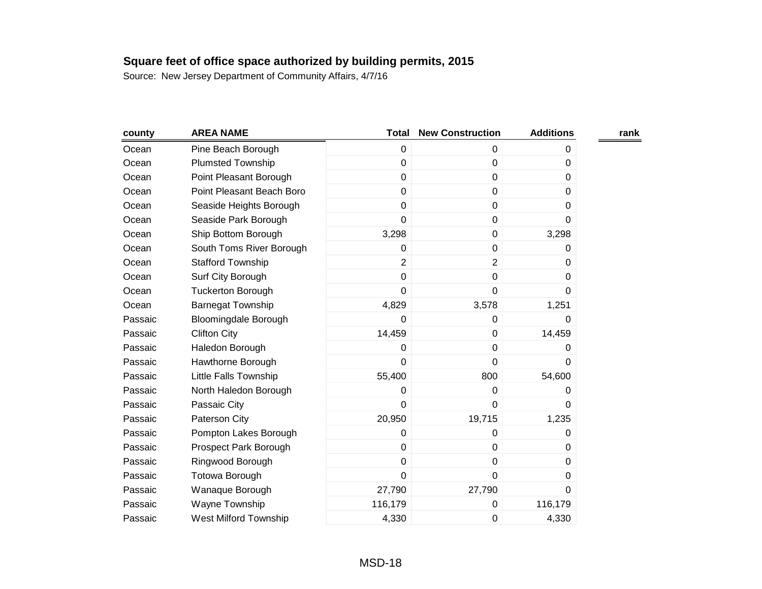| county  | <b>AREA NAME</b>             | <b>Total</b>   | <b>New Construction</b> | <b>Additions</b> | rank |
|---------|------------------------------|----------------|-------------------------|------------------|------|
| Ocean   | Pine Beach Borough           | 0              | 0                       | 0                |      |
| Ocean   | <b>Plumsted Township</b>     | 0              | $\mathbf 0$             | 0                |      |
| Ocean   | Point Pleasant Borough       | 0              | $\pmb{0}$               | 0                |      |
| Ocean   | Point Pleasant Beach Boro    | 0              | $\pmb{0}$               | 0                |      |
| Ocean   | Seaside Heights Borough      | 0              | $\mathbf 0$             | 0                |      |
| Ocean   | Seaside Park Borough         | 0              | 0                       | 0                |      |
| Ocean   | Ship Bottom Borough          | 3,298          | $\pmb{0}$               | 3,298            |      |
| Ocean   | South Toms River Borough     | 0              | $\mathbf 0$             | 0                |      |
| Ocean   | <b>Stafford Township</b>     | $\overline{2}$ | $\overline{2}$          | 0                |      |
| Ocean   | Surf City Borough            | 0              | $\pmb{0}$               | 0                |      |
| Ocean   | <b>Tuckerton Borough</b>     | $\overline{0}$ | $\mathbf 0$             | 0                |      |
| Ocean   | <b>Barnegat Township</b>     | 4,829          | 3,578                   | 1,251            |      |
| Passaic | <b>Bloomingdale Borough</b>  | 0              | 0                       | 0                |      |
| Passaic | <b>Clifton City</b>          | 14,459         | $\mathbf 0$             | 14,459           |      |
| Passaic | Haledon Borough              | 0              | $\pmb{0}$               | 0                |      |
| Passaic | Hawthorne Borough            | 0              | 0                       | 0                |      |
| Passaic | Little Falls Township        | 55,400         | 800                     | 54,600           |      |
| Passaic | North Haledon Borough        | 0              | $\mathbf 0$             | 0                |      |
| Passaic | Passaic City                 | 0              | 0                       | 0                |      |
| Passaic | Paterson City                | 20,950         | 19,715                  | 1,235            |      |
| Passaic | Pompton Lakes Borough        | 0              | 0                       | 0                |      |
| Passaic | Prospect Park Borough        | 0              | 0                       | 0                |      |
| Passaic | Ringwood Borough             | 0              | $\pmb{0}$               | 0                |      |
| Passaic | Totowa Borough               | $\overline{0}$ | $\mathbf 0$             | 0                |      |
| Passaic | Wanaque Borough              | 27,790         | 27,790                  | 0                |      |
| Passaic | Wayne Township               | 116,179        | 0                       | 116,179          |      |
| Passaic | <b>West Milford Township</b> | 4,330          | 0                       | 4,330            |      |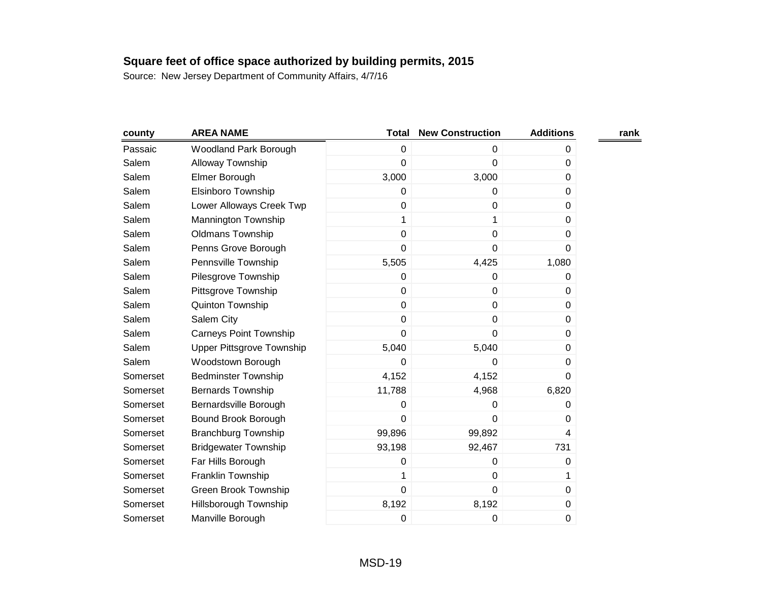| county   | <b>AREA NAME</b>              | <b>Total</b>   | <b>New Construction</b> | <b>Additions</b> | rank |
|----------|-------------------------------|----------------|-------------------------|------------------|------|
| Passaic  | Woodland Park Borough         | 0              | 0                       | 0                |      |
| Salem    | Alloway Township              | 0              | 0                       | 0                |      |
| Salem    | Elmer Borough                 | 3,000          | 3,000                   | 0                |      |
| Salem    | Elsinboro Township            | 0              | 0                       | 0                |      |
| Salem    | Lower Alloways Creek Twp      | 0              | $\pmb{0}$               | 0                |      |
| Salem    | Mannington Township           | 1              | 1                       | $\Omega$         |      |
| Salem    | <b>Oldmans Township</b>       | $\pmb{0}$      | $\pmb{0}$               | 0                |      |
| Salem    | Penns Grove Borough           | 0              | 0                       | $\Omega$         |      |
| Salem    | Pennsville Township           | 5,505          | 4,425                   | 1,080            |      |
| Salem    | Pilesgrove Township           | 0              | 0                       | 0                |      |
| Salem    | Pittsgrove Township           | $\mathbf 0$    | $\mathbf 0$             | 0                |      |
| Salem    | Quinton Township              | $\overline{0}$ | $\pmb{0}$               | $\Omega$         |      |
| Salem    | Salem City                    | 0              | $\pmb{0}$               | 0                |      |
| Salem    | <b>Carneys Point Township</b> | $\overline{0}$ | 0                       | $\Omega$         |      |
| Salem    | Upper Pittsgrove Township     | 5,040          | 5,040                   | $\Omega$         |      |
| Salem    | Woodstown Borough             | 0              | 0                       | 0                |      |
| Somerset | <b>Bedminster Township</b>    | 4,152          | 4,152                   | $\Omega$         |      |
| Somerset | <b>Bernards Township</b>      | 11,788         | 4,968                   | 6,820            |      |
| Somerset | Bernardsville Borough         | 0              | 0                       | 0                |      |
| Somerset | Bound Brook Borough           | $\overline{0}$ | $\mathbf 0$             | 0                |      |
| Somerset | <b>Branchburg Township</b>    | 99,896         | 99,892                  | 4                |      |
| Somerset | <b>Bridgewater Township</b>   | 93,198         | 92,467                  | 731              |      |
| Somerset | Far Hills Borough             | 0              | 0                       | 0                |      |
| Somerset | Franklin Township             | 1              | $\pmb{0}$               | 1                |      |
| Somerset | <b>Green Brook Township</b>   | $\mathbf 0$    | $\mathbf 0$             | $\Omega$         |      |
| Somerset | Hillsborough Township         | 8,192          | 8,192                   | $\boldsymbol{0}$ |      |
| Somerset | Manville Borough              | 0              | 0                       | $\mathbf 0$      |      |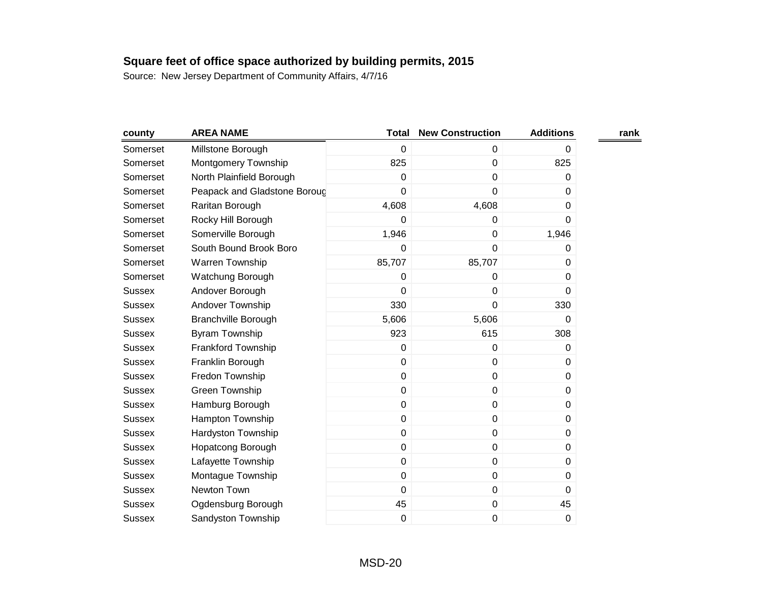| county        | <b>AREA NAME</b>             | <b>Total</b> | <b>New Construction</b> | <b>Additions</b> | rank |
|---------------|------------------------------|--------------|-------------------------|------------------|------|
| Somerset      | Millstone Borough            | $\mathbf 0$  | 0                       | 0                |      |
| Somerset      | Montgomery Township          | 825          | $\pmb{0}$               | 825              |      |
| Somerset      | North Plainfield Borough     | $\mathbf 0$  | 0                       | 0                |      |
| Somerset      | Peapack and Gladstone Boroug | 0            | $\mathbf 0$             | 0                |      |
| Somerset      | Raritan Borough              | 4,608        | 4,608                   | 0                |      |
| Somerset      | Rocky Hill Borough           | 0            | 0                       | 0                |      |
| Somerset      | Somerville Borough           | 1,946        | $\mathbf 0$             | 1,946            |      |
| Somerset      | South Bound Brook Boro       | 0            | 0                       | 0                |      |
| Somerset      | Warren Township              | 85,707       | 85,707                  | 0                |      |
| Somerset      | Watchung Borough             | 0            | 0                       | 0                |      |
| <b>Sussex</b> | Andover Borough              | 0            | $\mathbf 0$             | 0                |      |
| <b>Sussex</b> | Andover Township             | 330          | 0                       | 330              |      |
| <b>Sussex</b> | <b>Branchville Borough</b>   | 5,606        | 5,606                   | 0                |      |
| <b>Sussex</b> | Byram Township               | 923          | 615                     | 308              |      |
| <b>Sussex</b> | Frankford Township           | $\mathbf 0$  | $\mathbf 0$             | $\Omega$         |      |
| <b>Sussex</b> | Franklin Borough             | $\mathbf 0$  | $\pmb{0}$               | 0                |      |
| <b>Sussex</b> | Fredon Township              | 0            | $\mathbf 0$             | 0                |      |
| <b>Sussex</b> | Green Township               | 0            | $\pmb{0}$               | 0                |      |
| <b>Sussex</b> | Hamburg Borough              | $\mathbf 0$  | $\pmb{0}$               | 0                |      |
| <b>Sussex</b> | Hampton Township             | 0            | $\pmb{0}$               | 0                |      |
| <b>Sussex</b> | Hardyston Township           | 0            | $\pmb{0}$               | 0                |      |
| <b>Sussex</b> | Hopatcong Borough            | $\pmb{0}$    | $\pmb{0}$               | 0                |      |
| <b>Sussex</b> | Lafayette Township           | 0            | $\mathbf 0$             | 0                |      |
| <b>Sussex</b> | Montague Township            | $\pmb{0}$    | $\pmb{0}$               | 0                |      |
| <b>Sussex</b> | Newton Town                  | 0            | $\mathbf 0$             | 0                |      |
| <b>Sussex</b> | Ogdensburg Borough           | 45           | $\pmb{0}$               | 45               |      |
| <b>Sussex</b> | Sandyston Township           | $\mathbf 0$  | $\pmb{0}$               | $\mathbf 0$      |      |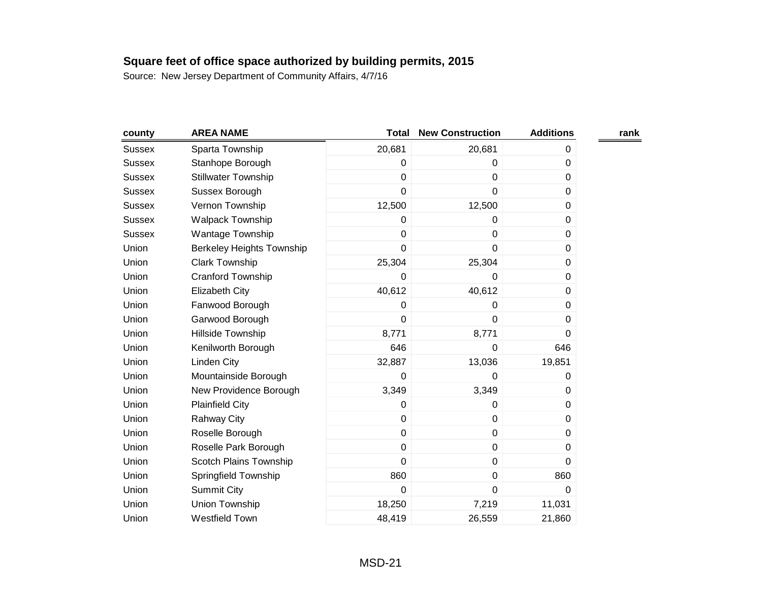| county        | <b>AREA NAME</b>                 | <b>Total</b> | <b>New Construction</b> | <b>Additions</b> | rank |
|---------------|----------------------------------|--------------|-------------------------|------------------|------|
| <b>Sussex</b> | Sparta Township                  | 20,681       | 20,681                  | 0                |      |
| <b>Sussex</b> | Stanhope Borough                 | 0            | 0                       | 0                |      |
| <b>Sussex</b> | Stillwater Township              | 0            | 0                       | 0                |      |
| <b>Sussex</b> | Sussex Borough                   | 0            | $\mathbf 0$             | 0                |      |
| <b>Sussex</b> | Vernon Township                  | 12,500       | 12,500                  | 0                |      |
| <b>Sussex</b> | <b>Walpack Township</b>          | 0            | 0                       | 0                |      |
| <b>Sussex</b> | Wantage Township                 | 0            | $\pmb{0}$               | $\pmb{0}$        |      |
| Union         | <b>Berkeley Heights Township</b> | 0            | 0                       | 0                |      |
| Union         | <b>Clark Township</b>            | 25,304       | 25,304                  | 0                |      |
| Union         | Cranford Township                | 0            | 0                       | 0                |      |
| Union         | <b>Elizabeth City</b>            | 40,612       | 40,612                  | 0                |      |
| Union         | Fanwood Borough                  | 0            | 0                       | 0                |      |
| Union         | Garwood Borough                  | 0            | 0                       | 0                |      |
| Union         | Hillside Township                | 8,771        | 8,771                   | 0                |      |
| Union         | Kenilworth Borough               | 646          | 0                       | 646              |      |
| Union         | <b>Linden City</b>               | 32,887       | 13,036                  | 19,851           |      |
| Union         | Mountainside Borough             | 0            | 0                       | 0                |      |
| Union         | New Providence Borough           | 3,349        | 3,349                   | 0                |      |
| Union         | <b>Plainfield City</b>           | 0            | 0                       | 0                |      |
| Union         | <b>Rahway City</b>               | 0            | $\pmb{0}$               | 0                |      |
| Union         | Roselle Borough                  | 0            | $\pmb{0}$               | 0                |      |
| Union         | Roselle Park Borough             | 0            | $\pmb{0}$               | 0                |      |
| Union         | Scotch Plains Township           | 0            | $\pmb{0}$               | 0                |      |
| Union         | Springfield Township             | 860          | $\pmb{0}$               | 860              |      |
| Union         | <b>Summit City</b>               | 0            | $\mathbf 0$             | 0                |      |
| Union         | Union Township                   | 18,250       | 7,219                   | 11,031           |      |
| Union         | Westfield Town                   | 48,419       | 26,559                  | 21,860           |      |